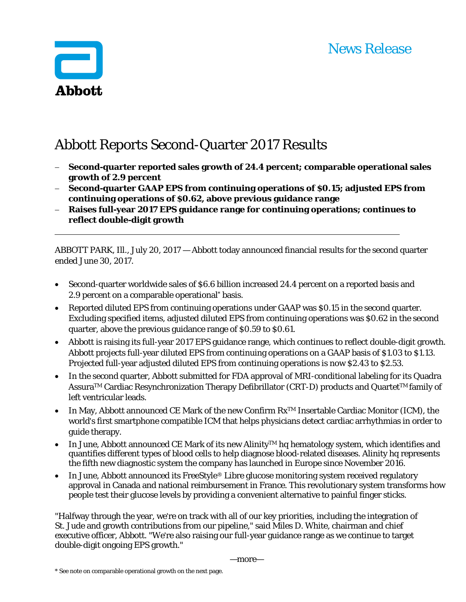

# Abbott Reports Second-Quarter 2017 Results

- **Second-quarter reported sales growth of 24.4 percent; comparable operational sales growth of 2.9 percent**
- **Second-quarter GAAP EPS from continuing operations of \$0.15; adjusted EPS from continuing operations of \$0.62, above previous guidance range**
- **Raises full-year 2017 EPS guidance range for continuing operations; continues to reflect double-digit growth**

ABBOTT PARK, Ill., July 20, 2017 — Abbott today announced financial results for the second quarter ended June 30, 2017.

- Second-quarter worldwide sales of \$6.6 billion increased 24.4 percent on a reported basis and 2.9 percent on a comparable operational\* basis.
- Reported diluted EPS from continuing operations under GAAP was \$0.15 in the second quarter. Excluding specified items, adjusted diluted EPS from continuing operations was \$0.62 in the second quarter, above the previous guidance range of \$0.59 to \$0.61.
- Abbott is raising its full-year 2017 EPS guidance range, which continues to reflect double-digit growth. Abbott projects full-year diluted EPS from continuing operations on a GAAP basis of \$1.03 to \$1.13. Projected full-year adjusted diluted EPS from continuing operations is now \$2.43 to \$2.53.
- In the second quarter, Abbott submitted for FDA approval of MRI-conditional labeling for its Quadra Assura<sup>™</sup> Cardiac Resynchronization Therapy Defibrillator (CRT-D) products and Quartet<sup>™</sup> family of left ventricular leads.
- In May, Abbott announced CE Mark of the new Confirm RxTM Insertable Cardiac Monitor (ICM), the world's first smartphone compatible ICM that helps physicians detect cardiac arrhythmias in order to guide therapy.
- In June, Abbott announced CE Mark of its new Alinity<sup>TM</sup> hq hematology system, which identifies and quantifies different types of blood cells to help diagnose blood-related diseases. Alinity hq represents the fifth new diagnostic system the company has launched in Europe since November 2016.
- In June, Abbott announced its FreeStyle® Libre glucose monitoring system received regulatory approval in Canada and national reimbursement in France. This revolutionary system transforms how people test their glucose levels by providing a convenient alternative to painful finger sticks.

"Halfway through the year, we're on track with all of our key priorities, including the integration of St. Jude and growth contributions from our pipeline," said Miles D. White, chairman and chief executive officer, Abbott. "We're also raising our full-year guidance range as we continue to target double-digit ongoing EPS growth."

—more—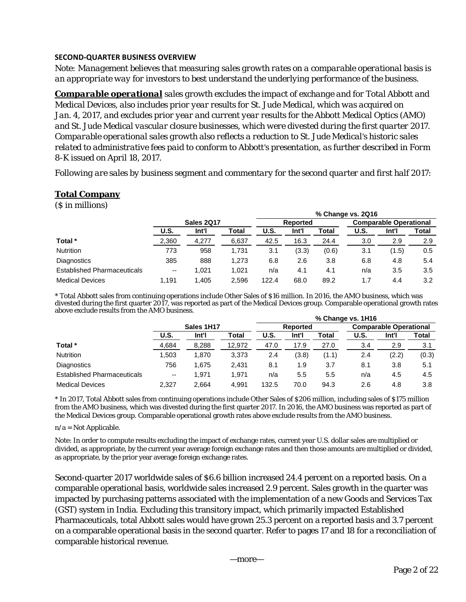## **SECOND‐QUARTER BUSINESS OVERVIEW**

*Note: Management believes that measuring sales growth rates on a comparable operational basis is an appropriate way for investors to best understand the underlying performance of the business.* 

*Comparable operational sales growth excludes the impact of exchange and for Total Abbott and Medical Devices, also includes prior year results for St. Jude Medical, which was acquired on Jan. 4, 2017, and excludes prior year and current year results for the Abbott Medical Optics (AMO) and St. Jude Medical vascular closure businesses, which were divested during the first quarter 2017. Comparable operational sales growth also reflects a reduction to St. Jude Medical's historic sales related to administrative fees paid to conform to Abbott's presentation, as further described in Form 8-K issued on April 18, 2017.* 

*Following are sales by business segment and commentary for the second quarter and first half 2017:* 

## **Total Company**

(\$ in millions)

|                                    |                          |            |       |             |          |       | % Change vs. 2Q16 |                               |       |  |
|------------------------------------|--------------------------|------------|-------|-------------|----------|-------|-------------------|-------------------------------|-------|--|
|                                    |                          | Sales 2Q17 |       |             | Reported |       |                   | <b>Comparable Operational</b> |       |  |
|                                    | U.S.                     | Int'l      | Total | <b>U.S.</b> | Int'l    | Total | <b>U.S.</b>       | Int'l                         | Total |  |
| Total *                            | 2,360                    | 4,277      | 6,637 | 42.5        | 16.3     | 24.4  | 3.0               | 2.9                           | 2.9   |  |
| <b>Nutrition</b>                   | 773                      | 958        | 1.731 | 3.1         | (3.3)    | (0.6) | 3.1               | (1.5)                         | 0.5   |  |
| Diagnostics                        | 385                      | 888        | 1.273 | 6.8         | 2.6      | 3.8   | 6.8               | 4.8                           | 5.4   |  |
| <b>Established Pharmaceuticals</b> | $\overline{\phantom{a}}$ | 1.021      | 1.021 | n/a         | 4.1      | 4.1   | n/a               | 3.5                           | 3.5   |  |
| <b>Medical Devices</b>             | 1.191                    | .405       | 2,596 | 122.4       | 68.0     | 89.2  | 1.7               | 4.4                           | 3.2   |  |

\* Total Abbott sales from continuing operations include Other Sales of \$16 million. In 2016, the AMO business, which was divested during the first quarter 2017, was reported as part of the Medical Devices group. Comparable operational growth rates above exclude results from the AMO business. **% Change vs. 1H16**

|                                    |                          |       |        | % Unange vs. THTD |       |       |                               |       |       |  |  |
|------------------------------------|--------------------------|-------|--------|-------------------|-------|-------|-------------------------------|-------|-------|--|--|
|                                    | Sales 1H17               |       |        | Reported          |       |       | <b>Comparable Operational</b> |       |       |  |  |
|                                    | U.S.                     | Int'l | Total  | U.S.              | Int'l | Total | U.S.                          | Int'l | Total |  |  |
| Total *                            | 4,684                    | 8,288 | 12,972 | 47.0              | 17.9  | 27.0  | 3.4                           | 2.9   | 3.1   |  |  |
| <b>Nutrition</b>                   | 1.503                    | 1,870 | 3,373  | 2.4               | (3.8) | (1.1) | 2.4                           | (2.2) | (0.3) |  |  |
| Diagnostics                        | 756                      | 1,675 | 2.431  | 8.1               | 1.9   | 3.7   | 8.1                           | 3.8   | 5.1   |  |  |
| <b>Established Pharmaceuticals</b> | $\overline{\phantom{m}}$ | 1.971 | 1.971  | n/a               | 5.5   | 5.5   | n/a                           | 4.5   | 4.5   |  |  |
| <b>Medical Devices</b>             | 2.327                    | 2.664 | 4.991  | 132.5             | 70.0  | 94.3  | 2.6                           | 4.8   | 3.8   |  |  |

\* In 2017, Total Abbott sales from continuing operations include Other Sales of \$206 million, including sales of \$175 million from the AMO business, which was divested during the first quarter 2017. In 2016, the AMO business was reported as part of the Medical Devices group. Comparable operational growth rates above exclude results from the AMO business.

#### $n/a = Not$  Applicable.

Note: In order to compute results excluding the impact of exchange rates, current year U.S. dollar sales are multiplied or divided, as appropriate, by the current year average foreign exchange rates and then those amounts are multiplied or divided, as appropriate, by the prior year average foreign exchange rates.

Second-quarter 2017 worldwide sales of \$6.6 billion increased 24.4 percent on a reported basis. On a comparable operational basis, worldwide sales increased 2.9 percent. Sales growth in the quarter was impacted by purchasing patterns associated with the implementation of a new Goods and Services Tax (GST) system in India. Excluding this transitory impact, which primarily impacted Established Pharmaceuticals, total Abbott sales would have grown 25.3 percent on a reported basis and 3.7 percent on a comparable operational basis in the second quarter. Refer to pages 17 and 18 for a reconciliation of comparable historical revenue.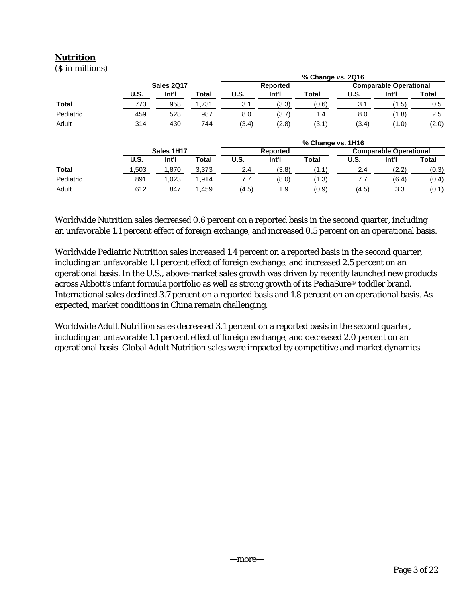## **Nutrition**

(\$ in millions)

|              |             |            |       |       |          | % Change vs. 2Q16 |             |                               |       |
|--------------|-------------|------------|-------|-------|----------|-------------------|-------------|-------------------------------|-------|
|              |             | Sales 2Q17 |       |       | Reported |                   |             | <b>Comparable Operational</b> |       |
|              | <b>U.S.</b> | Int'l      | Total | U.S.  | Int'l    | <b>Total</b>      | U.S.        | Int'l                         | Total |
| <b>Total</b> | 773         | 958        | 1,731 | 3.1   | (3.3)    | (0.6)             | 3.1         | (1.5)                         | 0.5   |
| Pediatric    | 459         | 528        | 987   | 8.0   | (3.7)    | 1.4               | 8.0         | (1.8)                         | 2.5   |
| Adult        | 314         | 430        | 744   | (3.4) | (2.8)    | (3.1)             | (3.4)       | (1.0)                         | (2.0) |
|              |             |            |       |       |          | % Change vs. 1H16 |             |                               |       |
|              |             | Sales 1H17 |       |       | Reported |                   |             | <b>Comparable Operational</b> |       |
|              | <b>U.S.</b> | Int'l      | Total | U.S.  | Int'l    | <b>Total</b>      | <b>U.S.</b> | Int'l                         | Total |
| Total        | .503        | 1,870      | 3,373 | 2.4   | (3.8)    | (1.1)             | 2.4         | (2.2)                         | (0.3) |
| Pediatric    | 891         | 1.023      | 1,914 | 7.7   | (8.0)    | (1.3)             | 7.7         | (6.4)                         | (0.4) |
| Adult        | 612         | 847        | 1.459 | (4.5) | 1.9      | (0.9)             | (4.5)       | 3.3                           | (0.1) |

Worldwide Nutrition sales decreased 0.6 percent on a reported basis in the second quarter, including an unfavorable 1.1 percent effect of foreign exchange, and increased 0.5 percent on an operational basis.

Worldwide Pediatric Nutrition sales increased 1.4 percent on a reported basis in the second quarter, including an unfavorable 1.1 percent effect of foreign exchange, and increased 2.5 percent on an operational basis. In the U.S., above-market sales growth was driven by recently launched new products across Abbott's infant formula portfolio as well as strong growth of its PediaSure® toddler brand. International sales declined 3.7 percent on a reported basis and 1.8 percent on an operational basis. As expected, market conditions in China remain challenging.

Worldwide Adult Nutrition sales decreased 3.1 percent on a reported basis in the second quarter, including an unfavorable 1.1 percent effect of foreign exchange, and decreased 2.0 percent on an operational basis. Global Adult Nutrition sales were impacted by competitive and market dynamics.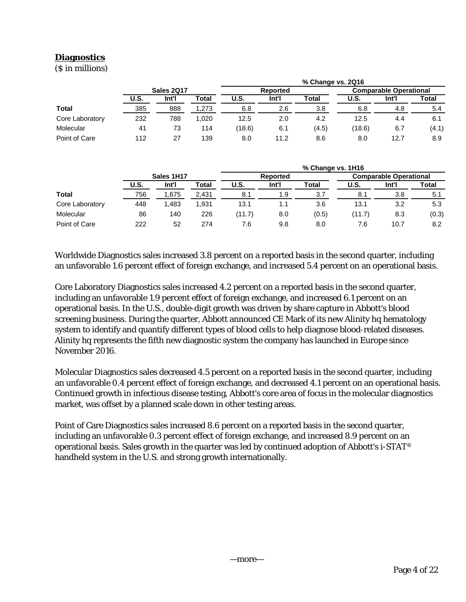# **Diagnostics**

(\$ in millions)

|                 |      |            |       | % Change vs. 2Q16 |          |       |                               |       |       |  |  |  |
|-----------------|------|------------|-------|-------------------|----------|-------|-------------------------------|-------|-------|--|--|--|
|                 |      | Sales 2Q17 |       |                   | Reported |       | <b>Comparable Operational</b> |       |       |  |  |  |
|                 | U.S. | Int'l      | Total | U.S.              | Int'l    | Total | U.S.                          | Int'l | Total |  |  |  |
| Total           | 385  | 888        | 1.273 | 6.8               | 2.6      | 3.8   | 6.8                           | 4.8   | 5.4   |  |  |  |
| Core Laboratory | 232  | 788        | 1.020 | 12.5              | 2.0      | 4.2   | 12.5                          | 4.4   | 6.1   |  |  |  |
| Molecular       | 41   | 73         | 114   | (18.6)            | 6.1      | (4.5) | (18.6)                        | 6.7   | (4.1) |  |  |  |
| Point of Care   | 112  | 27         | 139   | 8.0               | 11.2     | 8.6   | 8.0                           | 12.7  | 8.9   |  |  |  |

|                 |            |       |       | % Change vs. 1H16 |                 |       |                               |       |       |  |  |  |
|-----------------|------------|-------|-------|-------------------|-----------------|-------|-------------------------------|-------|-------|--|--|--|
|                 | Sales 1H17 |       |       |                   | <b>Reported</b> |       | <b>Comparable Operational</b> |       |       |  |  |  |
|                 | U.S.       | Int'l | Total | U.S.              | Int'l           | Total | U.S.                          | Int'l | Total |  |  |  |
| <b>Total</b>    | 756        | 1.675 | 2,431 | 8.1               | 1.9             | 3.7   | 8.1                           | 3.8   | 5.1   |  |  |  |
| Core Laboratory | 448        | 1.483 | 1.931 | 13.1              | 1.1             | 3.6   | 13.1                          | 3.2   | 5.3   |  |  |  |
| Molecular       | 86         | 140   | 226   | (11.7)            | 8.0             | (0.5) | (11.7)                        | 8.3   | (0.3) |  |  |  |
| Point of Care   | 222        | 52    | 274   | 7.6               | 9.8             | 8.0   | 7.6                           | 10.7  | 8.2   |  |  |  |

Worldwide Diagnostics sales increased 3.8 percent on a reported basis in the second quarter, including an unfavorable 1.6 percent effect of foreign exchange, and increased 5.4 percent on an operational basis.

Core Laboratory Diagnostics sales increased 4.2 percent on a reported basis in the second quarter, including an unfavorable 1.9 percent effect of foreign exchange, and increased 6.1 percent on an operational basis. In the U.S., double-digit growth was driven by share capture in Abbott's blood screening business. During the quarter, Abbott announced CE Mark of its new Alinity hq hematology system to identify and quantify different types of blood cells to help diagnose blood-related diseases. Alinity hq represents the fifth new diagnostic system the company has launched in Europe since November 2016.

Molecular Diagnostics sales decreased 4.5 percent on a reported basis in the second quarter, including an unfavorable 0.4 percent effect of foreign exchange, and decreased 4.1 percent on an operational basis. Continued growth in infectious disease testing, Abbott's core area of focus in the molecular diagnostics market, was offset by a planned scale down in other testing areas.

Point of Care Diagnostics sales increased 8.6 percent on a reported basis in the second quarter, including an unfavorable 0.3 percent effect of foreign exchange, and increased 8.9 percent on an operational basis. Sales growth in the quarter was led by continued adoption of Abbott's i-STAT® handheld system in the U.S. and strong growth internationally.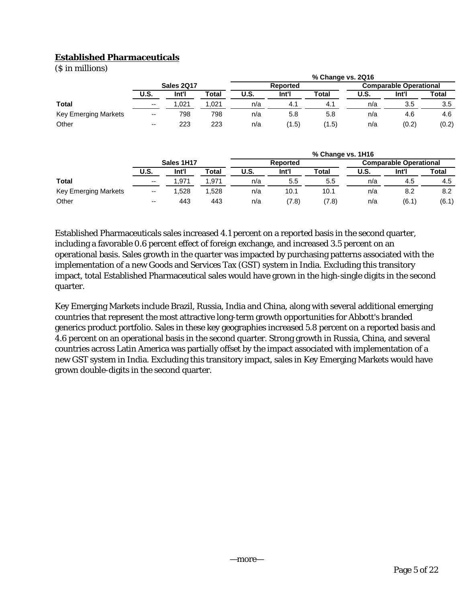## **Established Pharmaceuticals**

(\$ in millions)

|                      |                          |       |       | % Change vs. 2Q16 |       |       |                               |       |       |  |  |
|----------------------|--------------------------|-------|-------|-------------------|-------|-------|-------------------------------|-------|-------|--|--|
|                      | Sales 2Q17               |       |       | <b>Reported</b>   |       |       | <b>Comparable Operational</b> |       |       |  |  |
|                      | <b>U.S.</b>              | Int'l | Total | <b>U.S.</b>       | Int'l | Total | U.S.                          | Int'l | Total |  |  |
| <b>Total</b>         | $\overline{\phantom{a}}$ | .021  | .021  | n/a               | 4.1   | 4.1   | n/a                           | 3.5   | 3.5   |  |  |
| Key Emerging Markets | $\overline{\phantom{a}}$ | 798   | 798   | n/a               | 5.8   | 5.8   | n/a                           | 4.6   | 4.6   |  |  |
| Other                | $\overline{\phantom{a}}$ | 223   | 223   | n/a               | (1.5) | (1.5) | n/a                           | (0.2) | (0.2) |  |  |

|                      |                          |       |       | % Change vs. 1H16 |       |              |                               |       |       |  |  |
|----------------------|--------------------------|-------|-------|-------------------|-------|--------------|-------------------------------|-------|-------|--|--|
|                      | Sales 1H17               |       |       | <b>Reported</b>   |       |              | <b>Comparable Operational</b> |       |       |  |  |
|                      | U.S.                     | Int'l | Total | <b>U.S.</b>       | Int'l | <b>Total</b> | U.S.                          | Int'l | Total |  |  |
| <b>Total</b>         | $\overline{\phantom{a}}$ | .971  | .971  | n/a               | 5.5   | 5.5          | n/a                           | 4.5   | 4.5   |  |  |
| Key Emerging Markets | $\overline{\phantom{m}}$ | .528  | .528  | n/a               | 10.1  | 10.1         | n/a                           | 8.2   | 8.2   |  |  |
| Other                | $\overline{\phantom{a}}$ | 443   | 443   | n/a               | (7.8) | (7.8)        | n/a                           | (6.1) | (6.1) |  |  |

Established Pharmaceuticals sales increased 4.1 percent on a reported basis in the second quarter, including a favorable 0.6 percent effect of foreign exchange, and increased 3.5 percent on an operational basis. Sales growth in the quarter was impacted by purchasing patterns associated with the implementation of a new Goods and Services Tax (GST) system in India. Excluding this transitory impact, total Established Pharmaceutical sales would have grown in the high-single digits in the second quarter.

Key Emerging Markets include Brazil, Russia, India and China, along with several additional emerging countries that represent the most attractive long-term growth opportunities for Abbott's branded generics product portfolio. Sales in these key geographies increased 5.8 percent on a reported basis and 4.6 percent on an operational basis in the second quarter. Strong growth in Russia, China, and several countries across Latin America was partially offset by the impact associated with implementation of a new GST system in India. Excluding this transitory impact, sales in Key Emerging Markets would have grown double-digits in the second quarter.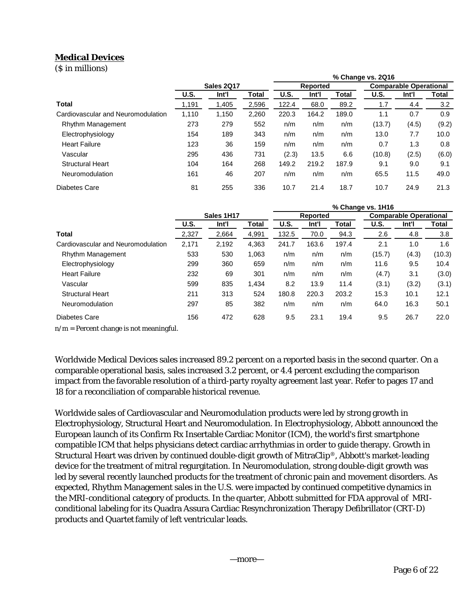# **Medical Devices**

(\$ in millions)

|                                    |                   |       |       | % Change vs. 2Q16 |                 |              |        |                               |              |
|------------------------------------|-------------------|-------|-------|-------------------|-----------------|--------------|--------|-------------------------------|--------------|
|                                    | <b>Sales 2017</b> |       |       |                   | <b>Reported</b> |              |        | <b>Comparable Operational</b> |              |
|                                    | <b>U.S.</b>       | Int'l | Total | U.S.              | Int'l           | <b>Total</b> | U.S.   | Int'l                         | <b>Total</b> |
| Total                              | 1,191             | 1,405 | 2,596 | 122.4             | 68.0            | 89.2         | 1.7    | 4.4                           | 3.2          |
| Cardiovascular and Neuromodulation | 1,110             | 1,150 | 2,260 | 220.3             | 164.2           | 189.0        | 1.1    | 0.7                           | 0.9          |
| Rhythm Management                  | 273               | 279   | 552   | n/m               | n/m             | n/m          | (13.7) | (4.5)                         | (9.2)        |
| Electrophysiology                  | 154               | 189   | 343   | n/m               | n/m             | n/m          | 13.0   | 7.7                           | 10.0         |
| <b>Heart Failure</b>               | 123               | 36    | 159   | n/m               | n/m             | n/m          | 0.7    | 1.3                           | 0.8          |
| Vascular                           | 295               | 436   | 731   | (2.3)             | 13.5            | 6.6          | (10.8) | (2.5)                         | (6.0)        |
| <b>Structural Heart</b>            | 104               | 164   | 268   | 149.2             | 219.2           | 187.9        | 9.1    | 9.0                           | 9.1          |
| Neuromodulation                    | 161               | 46    | 207   | n/m               | n/m             | n/m          | 65.5   | 11.5                          | 49.0         |
| Diabetes Care                      | 81                | 255   | 336   | 10.7              | 21.4            | 18.7         | 10.7   | 24.9                          | 21.3         |

|                                    |             |       |       | % Change vs. 1H16 |                 |       |        |                               |        |  |
|------------------------------------|-------------|-------|-------|-------------------|-----------------|-------|--------|-------------------------------|--------|--|
|                                    | Sales 1H17  |       |       |                   | <b>Reported</b> |       |        | <b>Comparable Operational</b> |        |  |
|                                    | <b>U.S.</b> | Int'l | Total | <b>U.S.</b>       | Int'l           | Total | U.S.   | Int'l                         | Total  |  |
| <b>Total</b>                       | 2,327       | 2,664 | 4,991 | 132.5             | 70.0            | 94.3  | 2.6    | 4.8                           | 3.8    |  |
| Cardiovascular and Neuromodulation | 2,171       | 2,192 | 4.363 | 241.7             | 163.6           | 197.4 | 2.1    | 1.0                           | 1.6    |  |
| Rhythm Management                  | 533         | 530   | 1,063 | n/m               | n/m             | n/m   | (15.7) | (4.3)                         | (10.3) |  |
| Electrophysiology                  | 299         | 360   | 659   | n/m               | n/m             | n/m   | 11.6   | 9.5                           | 10.4   |  |
| <b>Heart Failure</b>               | 232         | 69    | 301   | n/m               | n/m             | n/m   | (4.7)  | 3.1                           | (3.0)  |  |
| Vascular                           | 599         | 835   | 1.434 | 8.2               | 13.9            | 11.4  | (3.1)  | (3.2)                         | (3.1)  |  |
| <b>Structural Heart</b>            | 211         | 313   | 524   | 180.8             | 220.3           | 203.2 | 15.3   | 10.1                          | 12.1   |  |
| Neuromodulation                    | 297         | 85    | 382   | n/m               | n/m             | n/m   | 64.0   | 16.3                          | 50.1   |  |
| Diabetes Care                      | 156         | 472   | 628   | 9.5               | 23.1            | 19.4  | 9.5    | 26.7                          | 22.0   |  |

 $n/m$  = Percent change is not meaningful.

Worldwide Medical Devices sales increased 89.2 percent on a reported basis in the second quarter. On a comparable operational basis, sales increased 3.2 percent, or 4.4 percent excluding the comparison impact from the favorable resolution of a third-party royalty agreement last year. Refer to pages 17 and 18 for a reconciliation of comparable historical revenue.

Worldwide sales of Cardiovascular and Neuromodulation products were led by strong growth in Electrophysiology, Structural Heart and Neuromodulation. In Electrophysiology, Abbott announced the European launch of its Confirm Rx Insertable Cardiac Monitor (ICM), the world's first smartphone compatible ICM that helps physicians detect cardiac arrhythmias in order to guide therapy. Growth in Structural Heart was driven by continued double-digit growth of MitraClip®, Abbott's market-leading device for the treatment of mitral regurgitation. In Neuromodulation, strong double-digit growth was led by several recently launched products for the treatment of chronic pain and movement disorders. As expected, Rhythm Management sales in the U.S. were impacted by continued competitive dynamics in the MRI-conditional category of products. In the quarter, Abbott submitted for FDA approval of MRIconditional labeling for its Quadra Assura Cardiac Resynchronization Therapy Defibrillator (CRT-D) products and Quartet family of left ventricular leads.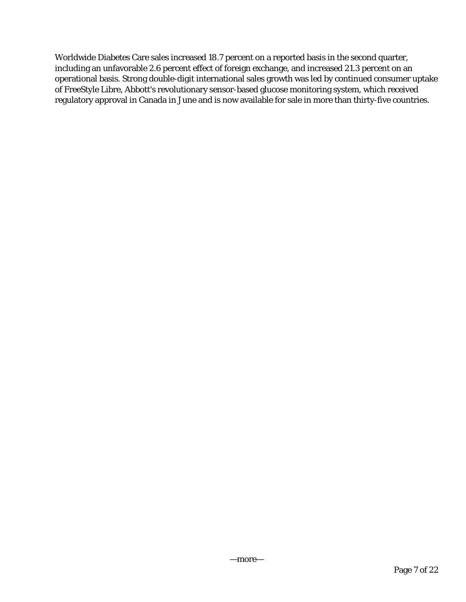Worldwide Diabetes Care sales increased 18.7 percent on a reported basis in the second quarter, including an unfavorable 2.6 percent effect of foreign exchange, and increased 21.3 percent on an operational basis. Strong double-digit international sales growth was led by continued consumer uptake of FreeStyle Libre, Abbott's revolutionary sensor-based glucose monitoring system, which received regulatory approval in Canada in June and is now available for sale in more than thirty-five countries.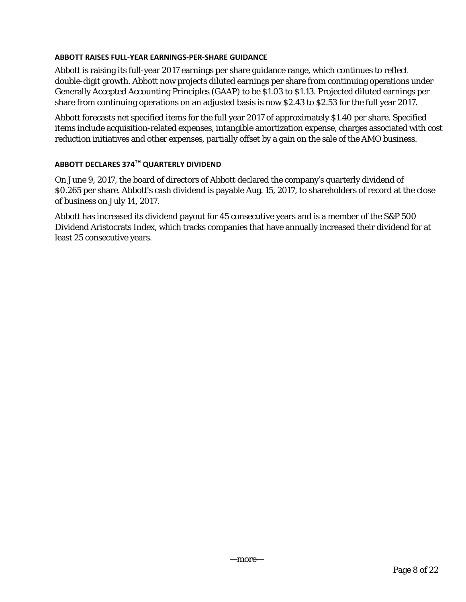## **ABBOTT RAISES FULL‐YEAR EARNINGS‐PER‐SHARE GUIDANCE**

Abbott is raising its full-year 2017 earnings per share guidance range, which continues to reflect double-digit growth. Abbott now projects diluted earnings per share from continuing operations under Generally Accepted Accounting Principles (GAAP) to be \$1.03 to \$1.13. Projected diluted earnings per share from continuing operations on an adjusted basis is now \$2.43 to \$2.53 for the full year 2017.

Abbott forecasts net specified items for the full year 2017 of approximately \$1.40 per share. Specified items include acquisition-related expenses, intangible amortization expense, charges associated with cost reduction initiatives and other expenses, partially offset by a gain on the sale of the AMO business.

# **ABBOTT DECLARES 374TH QUARTERLY DIVIDEND**

On June 9, 2017, the board of directors of Abbott declared the company's quarterly dividend of \$0.265 per share. Abbott's cash dividend is payable Aug. 15, 2017, to shareholders of record at the close of business on July 14, 2017.

Abbott has increased its dividend payout for 45 consecutive years and is a member of the S&P 500 Dividend Aristocrats Index, which tracks companies that have annually increased their dividend for at least 25 consecutive years.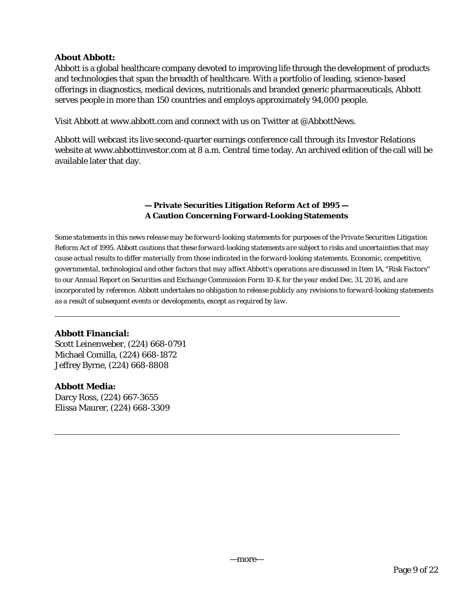## **About Abbott:**

Abbott is a global healthcare company devoted to improving life through the development of products and technologies that span the breadth of healthcare. With a portfolio of leading, science-based offerings in diagnostics, medical devices, nutritionals and branded generic pharmaceuticals, Abbott serves people in more than 150 countries and employs approximately 94,000 people.

Visit Abbott at www.abbott.com and connect with us on Twitter at @AbbottNews.

Abbott will webcast its live second-quarter earnings conference call through its Investor Relations website at www.abbottinvestor.com at 8 a.m. Central time today. An archived edition of the call will be available later that day.

## **— Private Securities Litigation Reform Act of 1995 — A Caution Concerning Forward-Looking Statements**

*Some statements in this news release may be forward-looking statements for purposes of the Private Securities Litigation Reform Act of 1995. Abbott cautions that these forward-looking statements are subject to risks and uncertainties that may cause actual results to differ materially from those indicated in the forward-looking statements. Economic, competitive, governmental, technological and other factors that may affect Abbott's operations are discussed in Item 1A, "Risk Factors'' to our Annual Report on Securities and Exchange Commission Form 10-K for the year ended Dec. 31, 2016, and are incorporated by reference. Abbott undertakes no obligation to release publicly any revisions to forward-looking statements as a result of subsequent events or developments, except as required by law.* 

## **Abbott Financial:**

Scott Leinenweber, (224) 668-0791 Michael Comilla, (224) 668-1872 Jeffrey Byrne, (224) 668-8808

## **Abbott Media:**

Darcy Ross, (224) 667-3655 Elissa Maurer, (224) 668-3309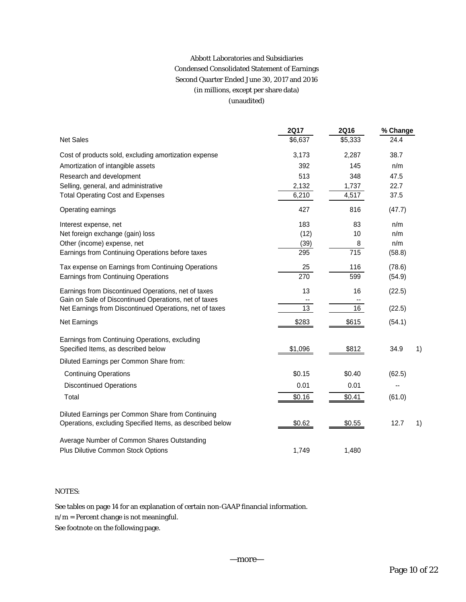## Abbott Laboratories and Subsidiaries Condensed Consolidated Statement of Earnings Second Quarter Ended June 30, 2017 and 2016 (in millions, except per share data) (unaudited)

|                                                           | <b>2Q17</b> | <b>2Q16</b>     | % Change   |
|-----------------------------------------------------------|-------------|-----------------|------------|
| <b>Net Sales</b>                                          | \$6,637     | \$5,333         | 24.4       |
| Cost of products sold, excluding amortization expense     | 3,173       | 2,287           | 38.7       |
| Amortization of intangible assets                         | 392         | 145             | n/m        |
| Research and development                                  | 513         | 348             | 47.5       |
| Selling, general, and administrative                      | 2,132       | 1,737           | 22.7       |
| <b>Total Operating Cost and Expenses</b>                  | 6,210       | 4,517           | 37.5       |
| Operating earnings                                        | 427         | 816             | (47.7)     |
| Interest expense, net                                     | 183         | 83              | n/m        |
| Net foreign exchange (gain) loss                          | (12)        | 10              | n/m        |
| Other (income) expense, net                               | (39)        | 8               | n/m        |
| Earnings from Continuing Operations before taxes          | 295         | 715             | (58.8)     |
| Tax expense on Earnings from Continuing Operations        | 25          | 116             | (78.6)     |
| Earnings from Continuing Operations                       | 270         | 599             | (54.9)     |
| Earnings from Discontinued Operations, net of taxes       | 13          | 16              | (22.5)     |
| Gain on Sale of Discontinued Operations, net of taxes     |             |                 |            |
| Net Earnings from Discontinued Operations, net of taxes   | 13          | $\overline{16}$ | (22.5)     |
| Net Earnings                                              | \$283       | \$615           | (54.1)     |
| Earnings from Continuing Operations, excluding            |             |                 |            |
| Specified Items, as described below                       | \$1,096     | \$812           | 34.9<br>1) |
| Diluted Earnings per Common Share from:                   |             |                 |            |
| <b>Continuing Operations</b>                              | \$0.15      | \$0.40          | (62.5)     |
| <b>Discontinued Operations</b>                            | 0.01        | 0.01            |            |
| Total                                                     | \$0.16      | \$0.41          | (61.0)     |
| Diluted Earnings per Common Share from Continuing         |             |                 |            |
| Operations, excluding Specified Items, as described below | \$0.62      | \$0.55          | 12.7<br>1) |
| Average Number of Common Shares Outstanding               |             |                 |            |
| Plus Dilutive Common Stock Options                        | 1,749       | 1,480           |            |

## NOTES:

See tables on page 14 for an explanation of certain non-GAAP financial information.

 $\mathbf{n}/\mathbf{m}$  = Percent change is not meaningful.

See footnote on the following page.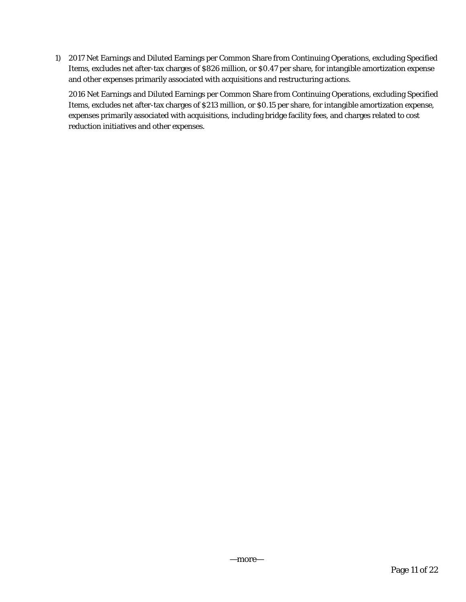1) 2017 Net Earnings and Diluted Earnings per Common Share from Continuing Operations, excluding Specified Items, excludes net after-tax charges of \$826 million, or \$0.47 per share, for intangible amortization expense and other expenses primarily associated with acquisitions and restructuring actions.

2016 Net Earnings and Diluted Earnings per Common Share from Continuing Operations, excluding Specified Items, excludes net after-tax charges of \$213 million, or \$0.15 per share, for intangible amortization expense, expenses primarily associated with acquisitions, including bridge facility fees, and charges related to cost reduction initiatives and other expenses.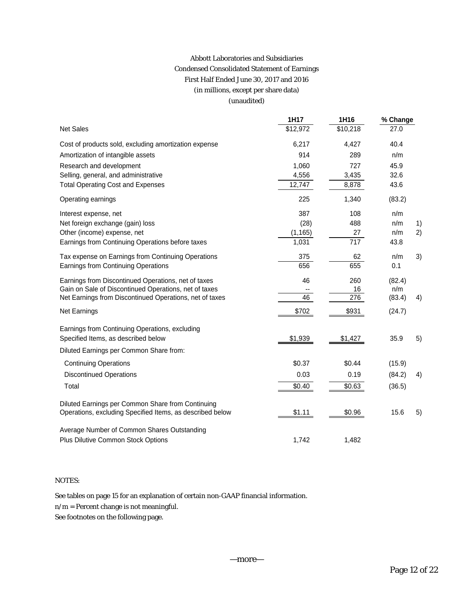## Abbott Laboratories and Subsidiaries Condensed Consolidated Statement of Earnings First Half Ended June 30, 2017 and 2016 (in millions, except per share data) (unaudited)

|                                                           | 1H17     | 1H16     | % Change |    |
|-----------------------------------------------------------|----------|----------|----------|----|
| <b>Net Sales</b>                                          | \$12,972 | \$10,218 | 27.0     |    |
| Cost of products sold, excluding amortization expense     | 6,217    | 4,427    | 40.4     |    |
| Amortization of intangible assets                         | 914      | 289      | n/m      |    |
| Research and development                                  | 1,060    | 727      | 45.9     |    |
| Selling, general, and administrative                      | 4,556    | 3,435    | 32.6     |    |
| <b>Total Operating Cost and Expenses</b>                  | 12,747   | 8,878    | 43.6     |    |
| Operating earnings                                        | 225      | 1,340    | (83.2)   |    |
| Interest expense, net                                     | 387      | 108      | n/m      |    |
| Net foreign exchange (gain) loss                          | (28)     | 488      | n/m      | 1) |
| Other (income) expense, net                               | (1, 165) | 27       | n/m      | 2) |
| Earnings from Continuing Operations before taxes          | 1,031    | 717      | 43.8     |    |
| Tax expense on Earnings from Continuing Operations        | 375      | 62       | n/m      | 3) |
| Earnings from Continuing Operations                       | 656      | 655      | 0.1      |    |
| Earnings from Discontinued Operations, net of taxes       | 46       | 260      | (82.4)   |    |
| Gain on Sale of Discontinued Operations, net of taxes     |          | 16       | n/m      |    |
| Net Earnings from Discontinued Operations, net of taxes   | 46       | 276      | (83.4)   | 4) |
| Net Earnings                                              | \$702    | \$931    | (24.7)   |    |
| Earnings from Continuing Operations, excluding            |          |          |          |    |
| Specified Items, as described below                       | \$1,939  | \$1,427  | 35.9     | 5) |
| Diluted Earnings per Common Share from:                   |          |          |          |    |
| <b>Continuing Operations</b>                              | \$0.37   | \$0.44   | (15.9)   |    |
| <b>Discontinued Operations</b>                            | 0.03     | 0.19     | (84.2)   | 4) |
| Total                                                     | \$0.40   | \$0.63   | (36.5)   |    |
| Diluted Earnings per Common Share from Continuing         |          |          |          |    |
| Operations, excluding Specified Items, as described below | \$1.11   | \$0.96   | 15.6     | 5) |
| Average Number of Common Shares Outstanding               |          |          |          |    |
| Plus Dilutive Common Stock Options                        | 1,742    | 1,482    |          |    |

#### NOTES:

See tables on page 15 for an explanation of certain non-GAAP financial information.

n/m = Percent change is not meaningful.

See footnotes on the following page.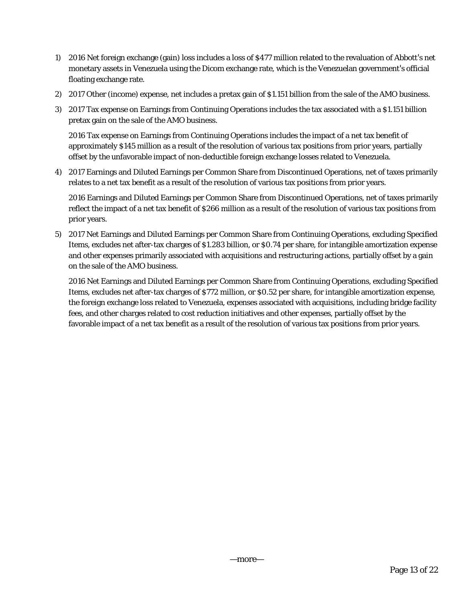- 1) 2016 Net foreign exchange (gain) loss includes a loss of \$477 million related to the revaluation of Abbott's net monetary assets in Venezuela using the Dicom exchange rate, which is the Venezuelan government's official floating exchange rate.
- 2) 2017 Other (income) expense, net includes a pretax gain of \$1.151 billion from the sale of the AMO business.
- 3) 2017 Tax expense on Earnings from Continuing Operations includes the tax associated with a \$1.151 billion pretax gain on the sale of the AMO business.

2016 Tax expense on Earnings from Continuing Operations includes the impact of a net tax benefit of approximately \$145 million as a result of the resolution of various tax positions from prior years, partially offset by the unfavorable impact of non-deductible foreign exchange losses related to Venezuela.

4) 2017 Earnings and Diluted Earnings per Common Share from Discontinued Operations, net of taxes primarily relates to a net tax benefit as a result of the resolution of various tax positions from prior years.

2016 Earnings and Diluted Earnings per Common Share from Discontinued Operations, net of taxes primarily reflect the impact of a net tax benefit of \$266 million as a result of the resolution of various tax positions from prior years.

5) 2017 Net Earnings and Diluted Earnings per Common Share from Continuing Operations, excluding Specified Items, excludes net after-tax charges of \$1.283 billion, or \$0.74 per share, for intangible amortization expense and other expenses primarily associated with acquisitions and restructuring actions, partially offset by a gain on the sale of the AMO business.

2016 Net Earnings and Diluted Earnings per Common Share from Continuing Operations, excluding Specified Items, excludes net after-tax charges of \$772 million, or \$0.52 per share, for intangible amortization expense, the foreign exchange loss related to Venezuela, expenses associated with acquisitions, including bridge facility fees, and other charges related to cost reduction initiatives and other expenses, partially offset by the favorable impact of a net tax benefit as a result of the resolution of various tax positions from prior years.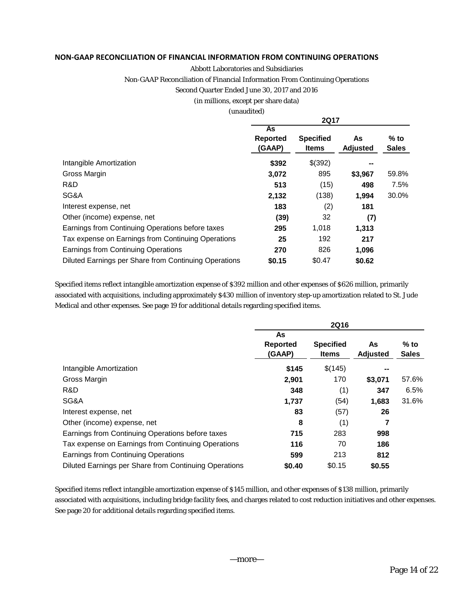### **NON‐GAAP RECONCILIATION OF FINANCIAL INFORMATION FROM CONTINUING OPERATIONS**

#### Abbott Laboratories and Subsidiaries

Non-GAAP Reconciliation of Financial Information From Continuing Operations

#### Second Quarter Ended June 30, 2017 and 2016

#### (in millions, except per share data)

#### (unaudited)

|                                                       |                          | <b>2Q17</b>                      |                       |                        |
|-------------------------------------------------------|--------------------------|----------------------------------|-----------------------|------------------------|
|                                                       | As<br>Reported<br>(GAAP) | <b>Specified</b><br><b>Items</b> | As<br><b>Adjusted</b> | $%$ to<br><b>Sales</b> |
| Intangible Amortization                               | \$392                    | \$(392)                          | --                    |                        |
| Gross Margin                                          | 3,072                    | 895                              | \$3,967               | 59.8%                  |
| R&D                                                   | 513                      | (15)                             | 498                   | 7.5%                   |
| SG&A                                                  | 2,132                    | (138)                            | 1,994                 | 30.0%                  |
| Interest expense, net                                 | 183                      | (2)                              | 181                   |                        |
| Other (income) expense, net                           | (39)                     | 32                               | (7)                   |                        |
| Earnings from Continuing Operations before taxes      | 295                      | 1,018                            | 1,313                 |                        |
| Tax expense on Earnings from Continuing Operations    | 25                       | 192                              | 217                   |                        |
| Earnings from Continuing Operations                   | 270                      | 826                              | 1,096                 |                        |
| Diluted Earnings per Share from Continuing Operations | \$0.15                   | \$0.47                           | \$0.62                |                        |

Specified items reflect intangible amortization expense of \$392 million and other expenses of \$626 million, primarily associated with acquisitions, including approximately \$430 million of inventory step-up amortization related to St. Jude Medical and other expenses. See page 19 for additional details regarding specified items.

|                                                       | <b>2Q16</b>              |                                  |                |                        |  |  |  |  |
|-------------------------------------------------------|--------------------------|----------------------------------|----------------|------------------------|--|--|--|--|
|                                                       | As<br>Reported<br>(GAAP) | <b>Specified</b><br><b>Items</b> | As<br>Adjusted | $%$ to<br><b>Sales</b> |  |  |  |  |
| Intangible Amortization                               | \$145                    | \$(145)                          |                |                        |  |  |  |  |
| Gross Margin                                          | 2,901                    | 170                              | \$3,071        | 57.6%                  |  |  |  |  |
| R&D                                                   | 348                      | (1)                              | 347            | 6.5%                   |  |  |  |  |
| SG&A                                                  | 1,737                    | (54)                             | 1,683          | 31.6%                  |  |  |  |  |
| Interest expense, net                                 | 83                       | (57)                             | 26             |                        |  |  |  |  |
| Other (income) expense, net                           | 8                        | (1)                              | 7              |                        |  |  |  |  |
| Earnings from Continuing Operations before taxes      | 715                      | 283                              | 998            |                        |  |  |  |  |
| Tax expense on Earnings from Continuing Operations    | 116                      | 70                               | 186            |                        |  |  |  |  |
| Earnings from Continuing Operations                   | 599                      | 213                              | 812            |                        |  |  |  |  |
| Diluted Earnings per Share from Continuing Operations | \$0.40                   | \$0.15                           | \$0.55         |                        |  |  |  |  |

Specified items reflect intangible amortization expense of \$145 million, and other expenses of \$138 million, primarily associated with acquisitions, including bridge facility fees, and charges related to cost reduction initiatives and other expenses. See page 20 for additional details regarding specified items.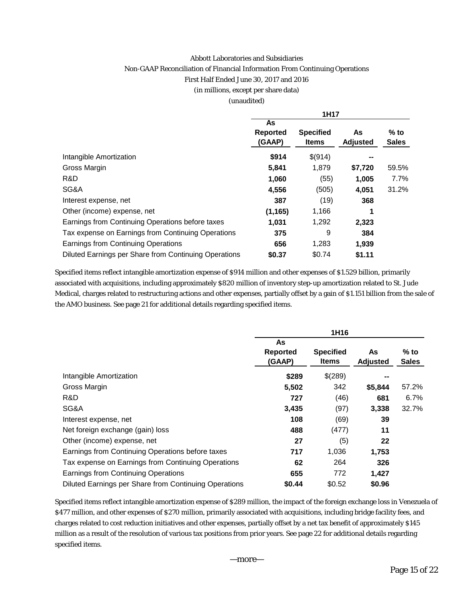#### Abbott Laboratories and Subsidiaries

#### Non-GAAP Reconciliation of Financial Information From Continuing Operations

First Half Ended June 30, 2017 and 2016

(in millions, except per share data)

#### (unaudited)

|                                                       | 1H17                            |                                  |                       |                        |  |  |  |
|-------------------------------------------------------|---------------------------------|----------------------------------|-----------------------|------------------------|--|--|--|
|                                                       | As<br><b>Reported</b><br>(GAAP) | <b>Specified</b><br><b>Items</b> | As<br><b>Adjusted</b> | $%$ to<br><b>Sales</b> |  |  |  |
| Intangible Amortization                               | \$914                           | \$(914)                          |                       |                        |  |  |  |
| Gross Margin                                          | 5,841                           | 1,879                            | \$7,720               | 59.5%                  |  |  |  |
| R&D                                                   | 1,060                           | (55)                             | 1,005                 | 7.7%                   |  |  |  |
| SG&A                                                  | 4,556                           | (505)                            | 4,051                 | 31.2%                  |  |  |  |
| Interest expense, net                                 | 387                             | (19)                             | 368                   |                        |  |  |  |
| Other (income) expense, net                           | (1, 165)                        | 1,166                            | 1                     |                        |  |  |  |
| Earnings from Continuing Operations before taxes      | 1,031                           | 1,292                            | 2,323                 |                        |  |  |  |
| Tax expense on Earnings from Continuing Operations    | 375                             | 9                                | 384                   |                        |  |  |  |
| Earnings from Continuing Operations                   | 656                             | 1,283                            | 1,939                 |                        |  |  |  |
| Diluted Earnings per Share from Continuing Operations | \$0.37                          | \$0.74                           | \$1.11                |                        |  |  |  |

Specified items reflect intangible amortization expense of \$914 million and other expenses of \$1.529 billion, primarily associated with acquisitions, including approximately \$820 million of inventory step-up amortization related to St. Jude Medical, charges related to restructuring actions and other expenses, partially offset by a gain of \$1.151 billion from the sale of the AMO business. See page 21 for additional details regarding specified items.

|                                                       | 1H16                            |                                  |                       |                        |  |  |  |
|-------------------------------------------------------|---------------------------------|----------------------------------|-----------------------|------------------------|--|--|--|
|                                                       | As<br><b>Reported</b><br>(GAAP) | <b>Specified</b><br><b>Items</b> | As<br><b>Adjusted</b> | $%$ to<br><b>Sales</b> |  |  |  |
| Intangible Amortization                               | \$289                           | \$(289)                          |                       |                        |  |  |  |
| Gross Margin                                          | 5,502                           | 342                              | \$5,844               | 57.2%                  |  |  |  |
| R&D                                                   | 727                             | (46)                             | 681                   | 6.7%                   |  |  |  |
| SG&A                                                  | 3,435                           | (97)                             | 3,338                 | 32.7%                  |  |  |  |
| Interest expense, net                                 | 108                             | (69)                             | 39                    |                        |  |  |  |
| Net foreign exchange (gain) loss                      | 488                             | (477)                            | 11                    |                        |  |  |  |
| Other (income) expense, net                           | 27                              | (5)                              | 22                    |                        |  |  |  |
| Earnings from Continuing Operations before taxes      | 717                             | 1,036                            | 1,753                 |                        |  |  |  |
| Tax expense on Earnings from Continuing Operations    | 62                              | 264                              | 326                   |                        |  |  |  |
| Earnings from Continuing Operations                   | 655                             | 772                              | 1,427                 |                        |  |  |  |
| Diluted Earnings per Share from Continuing Operations | \$0.44                          | \$0.52                           | \$0.96                |                        |  |  |  |

Specified items reflect intangible amortization expense of \$289 million, the impact of the foreign exchange loss in Venezuela of \$477 million, and other expenses of \$270 million, primarily associated with acquisitions, including bridge facility fees, and charges related to cost reduction initiatives and other expenses, partially offset by a net tax benefit of approximately \$145 million as a result of the resolution of various tax positions from prior years. See page 22 for additional details regarding specified items.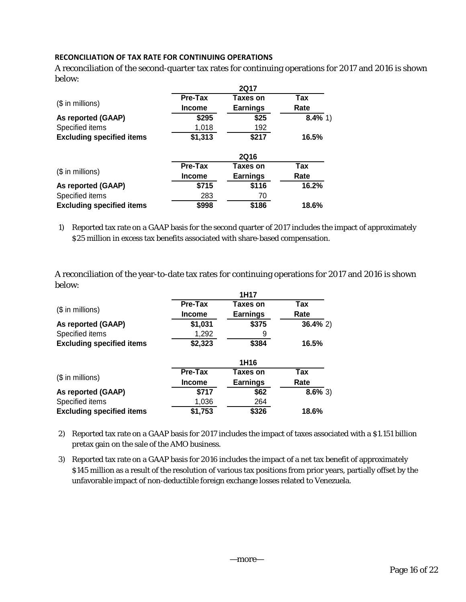## **RECONCILIATION OF TAX RATE FOR CONTINUING OPERATIONS**

A reconciliation of the second-quarter tax rates for continuing operations for 2017 and 2016 is shown below:

|                                  | <b>2Q17</b>    |                 |             |  |  |  |  |  |
|----------------------------------|----------------|-----------------|-------------|--|--|--|--|--|
|                                  | <b>Pre-Tax</b> | Taxes on        | $\bar{T}ax$ |  |  |  |  |  |
| $($$ in millions)                | <b>Income</b>  | <b>Earnings</b> | Rate        |  |  |  |  |  |
| As reported (GAAP)               | \$295          | \$25            | $8.4\%$ 1)  |  |  |  |  |  |
| Specified items                  | 1,018          | 192             |             |  |  |  |  |  |
| <b>Excluding specified items</b> | \$1,313        | \$217           | 16.5%       |  |  |  |  |  |
|                                  |                | <b>2Q16</b>     |             |  |  |  |  |  |
|                                  | <b>Pre-Tax</b> | Taxes on        | Tax         |  |  |  |  |  |
| $($$ in millions)                | <b>Income</b>  | <b>Earnings</b> | Rate        |  |  |  |  |  |
| As reported (GAAP)               | \$715          | \$116           | 16.2%       |  |  |  |  |  |
| Specified items                  | 283            | 70              |             |  |  |  |  |  |
| <b>Excluding specified items</b> | \$998          | \$186           | 18.6%       |  |  |  |  |  |

1) Reported tax rate on a GAAP basis for the second quarter of 2017 includes the impact of approximately \$25 million in excess tax benefits associated with share-based compensation.

A reconciliation of the year-to-date tax rates for continuing operations for 2017 and 2016 is shown below:

|                                  | 1H17           |                  |             |  |  |  |  |  |  |
|----------------------------------|----------------|------------------|-------------|--|--|--|--|--|--|
|                                  | <b>Pre-Tax</b> | Taxes on         | Tax         |  |  |  |  |  |  |
| $($$ in millions)                | <b>Income</b>  | <b>Earnings</b>  | Rate        |  |  |  |  |  |  |
| As reported (GAAP)               | \$1,031        | \$375            | $36.4\%$ 2) |  |  |  |  |  |  |
| Specified items                  | 1,292          |                  |             |  |  |  |  |  |  |
| <b>Excluding specified items</b> | \$2,323        | 16.5%            |             |  |  |  |  |  |  |
|                                  |                | 1H <sub>16</sub> |             |  |  |  |  |  |  |
|                                  | <b>Pre-Tax</b> | Taxes on         | Tax         |  |  |  |  |  |  |
| $$$ in millions)                 | <b>Income</b>  | <b>Earnings</b>  | Rate        |  |  |  |  |  |  |
| As reported (GAAP)               | \$717          | \$62             | $8.6\%$ 3)  |  |  |  |  |  |  |
| Specified items                  | 1,036          | 264              |             |  |  |  |  |  |  |
| <b>Excluding specified items</b> | \$1,753        | \$326            | 18.6%       |  |  |  |  |  |  |

2) Reported tax rate on a GAAP basis for 2017 includes the impact of taxes associated with a \$1.151 billion pretax gain on the sale of the AMO business.

3) Reported tax rate on a GAAP basis for 2016 includes the impact of a net tax benefit of approximately \$145 million as a result of the resolution of various tax positions from prior years, partially offset by the unfavorable impact of non-deductible foreign exchange losses related to Venezuela.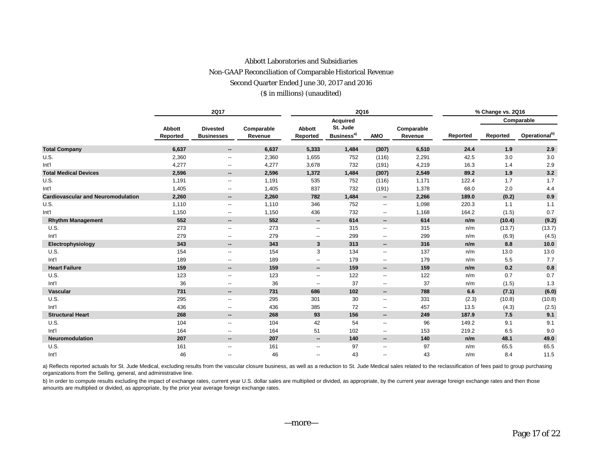## Abbott Laboratories and Subsidiaries Non-GAAP Reconciliation of Comparable Historical Revenue Second Quarter Ended June 30, 2017 and 2016 (\$ in millions) (unaudited)

|                                           | <b>2Q17</b>               |                                      |                       |                          | 2Q16                               |                          | % Change vs. 2Q16     |          |          |                           |
|-------------------------------------------|---------------------------|--------------------------------------|-----------------------|--------------------------|------------------------------------|--------------------------|-----------------------|----------|----------|---------------------------|
|                                           |                           |                                      |                       |                          | <b>Acquired</b>                    |                          |                       |          |          | Comparable                |
|                                           | <b>Abbott</b><br>Reported | <b>Divested</b><br><b>Businesses</b> | Comparable<br>Revenue | Abbott<br>Reported       | St. Jude<br>Business <sup>a)</sup> | <b>AMO</b>               | Comparable<br>Revenue | Reported | Reported | Operational <sup>b)</sup> |
| <b>Total Company</b>                      | 6,637                     | $\overline{\phantom{a}}$             | 6,637                 | 5,333                    | 1,484                              | (307)                    | 6,510                 | 24.4     | 1.9      | 2.9                       |
| U.S.                                      | 2,360                     | $\overline{\phantom{a}}$             | 2,360                 | 1,655                    | 752                                | (116)                    | 2,291                 | 42.5     | 3.0      | 3.0                       |
| Int'l                                     | 4,277                     | $\overline{\phantom{a}}$             | 4,277                 | 3,678                    | 732                                | (191)                    | 4,219                 | 16.3     | 1.4      | 2.9                       |
| <b>Total Medical Devices</b>              | 2,596                     | $\overline{\phantom{a}}$             | 2,596                 | 1,372                    | 1,484                              | (307)                    | 2,549                 | 89.2     | 1.9      | 3.2                       |
| U.S.                                      | 1,191                     | $\overline{\phantom{a}}$             | 1,191                 | 535                      | 752                                | (116)                    | 1,171                 | 122.4    | 1.7      | 1.7                       |
| Int'l                                     | 1,405                     | ۰.                                   | 1,405                 | 837                      | 732                                | (191)                    | 1,378                 | 68.0     | 2.0      | 4.4                       |
| <b>Cardiovascular and Neuromodulation</b> | 2,260                     | $\overline{\phantom{a}}$             | 2,260                 | 782                      | 1,484                              | $\overline{\phantom{a}}$ | 2,266                 | 189.0    | (0.2)    | 0.9                       |
| U.S.                                      | 1,110                     | $\overline{\phantom{a}}$             | 1,110                 | 346                      | 752                                | --                       | 1,098                 | 220.3    | 1.1      | 1.1                       |
| Int'l                                     | 1,150                     | $\overline{\phantom{a}}$             | 1,150                 | 436                      | 732                                | $\overline{\phantom{a}}$ | 1,168                 | 164.2    | (1.5)    | 0.7                       |
| <b>Rhythm Management</b>                  | 552                       | $\overline{\phantom{a}}$             | 552                   | --                       | 614                                | −−                       | 614                   | n/m      | (10.4)   | (9.2)                     |
| U.S.                                      | 273                       | $\overline{\phantom{a}}$             | 273                   | $\overline{\phantom{a}}$ | 315                                | --                       | 315                   | n/m      | (13.7)   | (13.7)                    |
| Int'l                                     | 279                       | $\overline{\phantom{a}}$             | 279                   | $\overline{\phantom{a}}$ | 299                                | --                       | 299                   | n/m      | (6.9)    | (4.5)                     |
| Electrophysiology                         | 343                       | $\overline{\phantom{a}}$             | 343                   | 3                        | 313                                | $\overline{\phantom{a}}$ | 316                   | n/m      | 8.8      | 10.0                      |
| U.S.                                      | 154                       | $\overline{\phantom{a}}$             | 154                   | 3                        | 134                                | $\overline{\phantom{a}}$ | 137                   | n/m      | 13.0     | 13.0                      |
| Int'l                                     | 189                       | $\overline{\phantom{m}}$             | 189                   | --                       | 179                                | --                       | 179                   | n/m      | 5.5      | 7.7                       |
| <b>Heart Failure</b>                      | 159                       | $\overline{\phantom{a}}$             | 159                   | --                       | 159                                | $\overline{\phantom{a}}$ | 159                   | n/m      | 0.2      | 0.8                       |
| U.S.                                      | 123                       | $\overline{\phantom{a}}$             | 123                   | $\overline{\phantom{a}}$ | 122                                | $\overline{\phantom{a}}$ | 122                   | n/m      | 0.7      | 0.7                       |
| Int'l                                     | 36                        | $\overline{\phantom{a}}$             | 36                    | $\overline{\phantom{a}}$ | 37                                 | --                       | 37                    | n/m      | (1.5)    | 1.3                       |
| Vascular                                  | 731                       | $\overline{\phantom{a}}$             | 731                   | 686                      | 102                                | $- -$                    | 788                   | 6.6      | (7.1)    | (6.0)                     |
| U.S.                                      | 295                       | $\overline{\phantom{a}}$             | 295                   | 301                      | 30                                 | --                       | 331                   | (2.3)    | (10.8)   | (10.8)                    |
| Int'l                                     | 436                       | $\overline{\phantom{a}}$             | 436                   | 385                      | 72                                 | --                       | 457                   | 13.5     | (4.3)    | (2.5)                     |
| <b>Structural Heart</b>                   | 268                       | $\overline{\phantom{a}}$             | 268                   | 93                       | 156                                | --                       | 249                   | 187.9    | 7.5      | 9.1                       |
| U.S.                                      | 104                       | $\overline{\phantom{a}}$             | 104                   | 42                       | 54                                 | --                       | 96                    | 149.2    | 9.1      | 9.1                       |
| Int'l                                     | 164                       | $\overline{\phantom{a}}$             | 164                   | 51                       | 102                                | --                       | 153                   | 219.2    | 6.5      | 9.0                       |
| Neuromodulation                           | 207                       | $\overline{\phantom{a}}$             | 207                   | $\overline{\phantom{a}}$ | 140                                | $\overline{\phantom{a}}$ | 140                   | n/m      | 48.1     | 49.0                      |
| U.S.                                      | 161                       | $\overline{\phantom{a}}$             | 161                   | $\overline{\phantom{a}}$ | 97                                 | --                       | 97                    | n/m      | 65.5     | 65.5                      |
| Int'l                                     | 46                        | $\overline{\phantom{a}}$             | 46                    | ۰.                       | 43                                 | ۰.                       | 43                    | n/m      | 8.4      | 11.5                      |

a) Reflects reported actuals for St. Jude Medical, excluding results from the vascular closure business, as well as a reduction to St. Jude Medical sales related to the reclassification of fees paid to group purchasing organizations from the Selling, general, and administrative line.

b) In order to compute results excluding the impact of exchange rates, current year U.S. dollar sales are multiplied or divided, as appropriate, by the current year average foreign exchange rates and then those amounts are multiplied or divided, as appropriate, by the prior year average foreign exchange rates.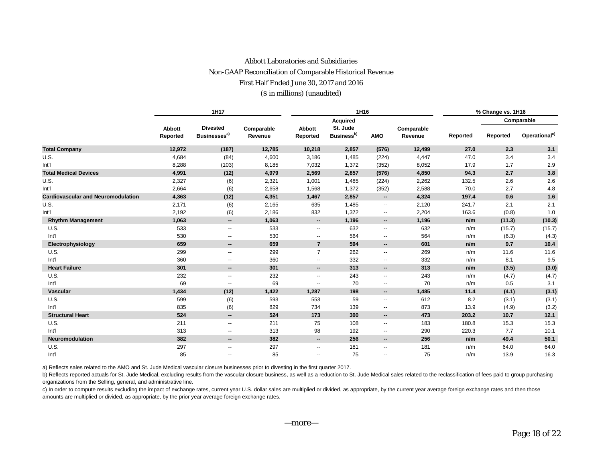# Abbott Laboratories and Subsidiaries Non-GAAP Reconciliation of Comparable Historical Revenue First Half Ended June 30, 2017 and 2016

#### (\$ in millions) (unaudited)

|                                           | 1H17                      |                                             |                       |                          | 1H16                               |                          | % Change vs. 1H16     |          |          |                           |
|-------------------------------------------|---------------------------|---------------------------------------------|-----------------------|--------------------------|------------------------------------|--------------------------|-----------------------|----------|----------|---------------------------|
|                                           |                           |                                             |                       |                          | <b>Acquired</b>                    |                          |                       |          |          | Comparable                |
|                                           | <b>Abbott</b><br>Reported | <b>Divested</b><br>Businesses <sup>a)</sup> | Comparable<br>Revenue | Abbott<br>Reported       | St. Jude<br>Business <sup>b)</sup> | <b>AMO</b>               | Comparable<br>Revenue | Reported | Reported | Operational <sup>c)</sup> |
| <b>Total Company</b>                      | 12,972                    | (187)                                       | 12,785                | 10,218                   | 2,857                              | (576)                    | 12,499                | 27.0     | 2.3      | 3.1                       |
| U.S.                                      | 4,684                     | (84)                                        | 4,600                 | 3,186                    | 1,485                              | (224)                    | 4,447                 | 47.0     | 3.4      | 3.4                       |
| Int <sup>1</sup>                          | 8,288                     | (103)                                       | 8,185                 | 7,032                    | 1,372                              | (352)                    | 8,052                 | 17.9     | 1.7      | 2.9                       |
| <b>Total Medical Devices</b>              | 4,991                     | (12)                                        | 4,979                 | 2,569                    | 2,857                              | (576)                    | 4,850                 | 94.3     | 2.7      | 3.8                       |
| U.S.                                      | 2,327                     | (6)                                         | 2,321                 | 1,001                    | 1,485                              | (224)                    | 2,262                 | 132.5    | 2.6      | 2.6                       |
| Int'l                                     | 2,664                     | (6)                                         | 2,658                 | 1,568                    | 1,372                              | (352)                    | 2,588                 | 70.0     | 2.7      | 4.8                       |
| <b>Cardiovascular and Neuromodulation</b> | 4,363                     | (12)                                        | 4,351                 | 1,467                    | 2,857                              | $\overline{\phantom{a}}$ | 4,324                 | 197.4    | 0.6      | 1.6                       |
| U.S.                                      | 2,171                     | (6)                                         | 2,165                 | 635                      | 1,485                              | $\overline{\phantom{a}}$ | 2,120                 | 241.7    | 2.1      | 2.1                       |
| Int'l                                     | 2,192                     | (6)                                         | 2,186                 | 832                      | 1,372                              | $\overline{\phantom{a}}$ | 2,204                 | 163.6    | (0.8)    | 1.0                       |
| <b>Rhythm Management</b>                  | 1,063                     | $\overline{\phantom{a}}$                    | 1,063                 | --                       | 1,196                              | $\sim$                   | 1,196                 | n/m      | (11.3)   | (10.3)                    |
| U.S.                                      | 533                       | $\overline{\phantom{a}}$                    | 533                   | --                       | 632                                | $\overline{\phantom{a}}$ | 632                   | n/m      | (15.7)   | (15.7)                    |
| Int'l                                     | 530                       | $\overline{\phantom{a}}$                    | 530                   | --                       | 564                                | $\overline{\phantom{a}}$ | 564                   | n/m      | (6.3)    | (4.3)                     |
| Electrophysiology                         | 659                       | $\overline{\phantom{a}}$                    | 659                   | $\overline{7}$           | 594                                | $\sim$                   | 601                   | n/m      | 9.7      | 10.4                      |
| U.S.                                      | 299                       | $\overline{\phantom{a}}$                    | 299                   | $\overline{7}$           | 262                                | $\overline{\phantom{a}}$ | 269                   | n/m      | 11.6     | 11.6                      |
| Int'l                                     | 360                       | $\overline{\phantom{a}}$                    | 360                   | --                       | 332                                | $\overline{\phantom{a}}$ | 332                   | n/m      | 8.1      | 9.5                       |
| <b>Heart Failure</b>                      | 301                       | $\overline{\phantom{a}}$                    | 301                   | --                       | 313                                | $\sim$                   | 313                   | n/m      | (3.5)    | (3.0)                     |
| U.S.                                      | 232                       | $\overline{\phantom{a}}$                    | 232                   | --                       | 243                                | $\overline{\phantom{a}}$ | 243                   | n/m      | (4.7)    | (4.7)                     |
| Int'l                                     | 69                        | $\overline{\phantom{a}}$                    | 69                    | --                       | 70                                 | $\overline{\phantom{a}}$ | 70                    | n/m      | 0.5      | 3.1                       |
| <b>Vascular</b>                           | 1,434                     | (12)                                        | 1,422                 | 1,287                    | 198                                | $\sim$                   | 1,485                 | 11.4     | (4.1)    | (3.1)                     |
| U.S.                                      | 599                       | (6)                                         | 593                   | 553                      | 59                                 | $\overline{\phantom{a}}$ | 612                   | 8.2      | (3.1)    | (3.1)                     |
| Int'l                                     | 835                       | (6)                                         | 829                   | 734                      | 139                                | $\overline{\phantom{a}}$ | 873                   | 13.9     | (4.9)    | (3.2)                     |
| <b>Structural Heart</b>                   | 524                       | $\overline{\phantom{a}}$                    | 524                   | 173                      | 300                                | $\sim$                   | 473                   | 203.2    | 10.7     | 12.1                      |
| U.S.                                      | 211                       | $\overline{\phantom{a}}$                    | 211                   | 75                       | 108                                | $\overline{\phantom{a}}$ | 183                   | 180.8    | 15.3     | 15.3                      |
| Int'l                                     | 313                       | $\overline{\phantom{a}}$                    | 313                   | 98                       | 192                                | $\overline{\phantom{a}}$ | 290                   | 220.3    | 7.7      | 10.1                      |
| Neuromodulation                           | 382                       | $\overline{\phantom{a}}$                    | 382                   | --                       | 256                                | $\overline{\phantom{a}}$ | 256                   | n/m      | 49.4     | 50.1                      |
| U.S.                                      | 297                       | $\overline{\phantom{a}}$                    | 297                   | $\overline{\phantom{a}}$ | 181                                | $\overline{\phantom{a}}$ | 181                   | n/m      | 64.0     | 64.0                      |
| Int'l                                     | 85                        | $\overline{\phantom{a}}$                    | 85                    | $\overline{\phantom{a}}$ | 75                                 | $\overline{\phantom{a}}$ | 75                    | n/m      | 13.9     | 16.3                      |

a) Reflects sales related to the AMO and St. Jude Medical vascular closure businesses prior to divesting in the first quarter 2017.

b) Reflects reported actuals for St. Jude Medical, excluding results from the vascular closure business, as well as a reduction to St. Jude Medical sales related to the reclassification of fees paid to group purchasing organizations from the Selling, general, and administrative line.

c) In order to compute results excluding the impact of exchange rates, current year U.S. dollar sales are multiplied or divided, as appropriate, by the current year average foreign exchange rates and then those amounts are multiplied or divided, as appropriate, by the prior year average foreign exchange rates.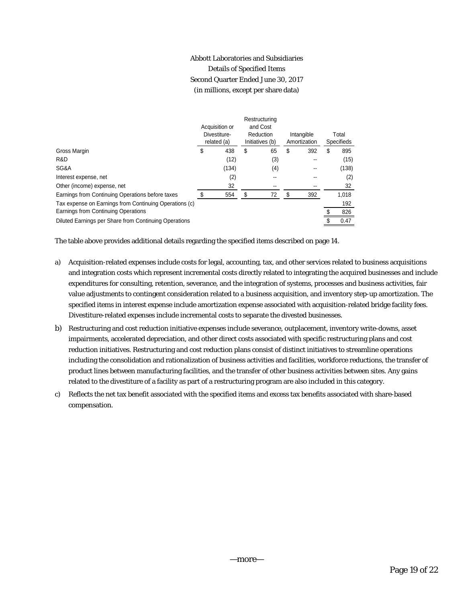## Abbott Laboratories and Subsidiaries Details of Specified Items Second Quarter Ended June 30, 2017 (in millions, except per share data)

|                                                        |                |              | Restructuring   |                            |     |            |       |
|--------------------------------------------------------|----------------|--------------|-----------------|----------------------------|-----|------------|-------|
|                                                        | Acquisition or |              | and Cost        |                            |     |            |       |
|                                                        |                | Divestiture- | Reduction       | Intangible<br>Amortization |     |            | Total |
|                                                        |                | related (a)  | Initiatives (b) |                            |     | Specifieds |       |
| Gross Margin                                           | \$             | 438          | \$<br>65        | \$                         | 392 | \$         | 895   |
| R&D                                                    |                | (12)         | (3)             |                            | --  |            | (15)  |
| SG&A                                                   |                | (134)        | (4)             |                            |     |            | (138) |
| Interest expense, net                                  |                | (2)          |                 |                            |     |            | (2)   |
| Other (income) expense, net                            |                | 32           |                 |                            |     |            | 32    |
| Earnings from Continuing Operations before taxes       |                | 554          | 72              | S                          | 392 |            | 1,018 |
| Tax expense on Earnings from Continuing Operations (c) |                |              |                 |                            |     |            | 192   |
| Earnings from Continuing Operations                    |                |              |                 |                            |     |            | 826   |
| Diluted Earnings per Share from Continuing Operations  |                |              |                 |                            |     |            | 0.47  |

The table above provides additional details regarding the specified items described on page 14.

- a) Acquisition-related expenses include costs for legal, accounting, tax, and other services related to business acquisitions and integration costs which represent incremental costs directly related to integrating the acquired businesses and include expenditures for consulting, retention, severance, and the integration of systems, processes and business activities, fair value adjustments to contingent consideration related to a business acquisition, and inventory step-up amortization. The specified items in interest expense include amortization expense associated with acquisition-related bridge facility fees. Divestiture-related expenses include incremental costs to separate the divested businesses.
- b) Restructuring and cost reduction initiative expenses include severance, outplacement, inventory write-downs, asset impairments, accelerated depreciation, and other direct costs associated with specific restructuring plans and cost reduction initiatives. Restructuring and cost reduction plans consist of distinct initiatives to streamline operations including the consolidation and rationalization of business activities and facilities, workforce reductions, the transfer of product lines between manufacturing facilities, and the transfer of other business activities between sites. Any gains related to the divestiture of a facility as part of a restructuring program are also included in this category.
- c) Reflects the net tax benefit associated with the specified items and excess tax benefits associated with share-based compensation.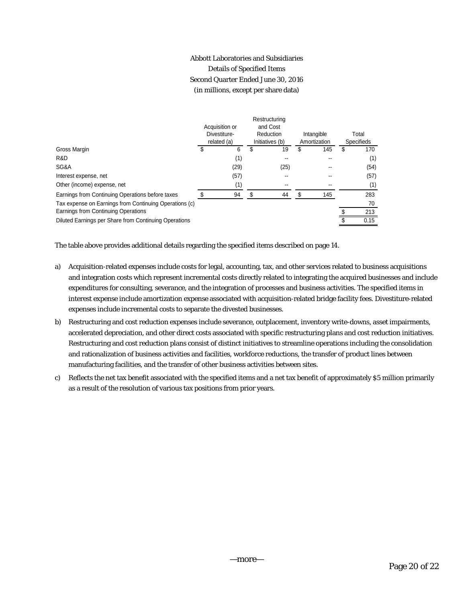## Abbott Laboratories and Subsidiaries Details of Specified Items Second Quarter Ended June 30, 2016 (in millions, except per share data)

|                                                        |  |                | Restructuring   |              |     |                   |      |
|--------------------------------------------------------|--|----------------|-----------------|--------------|-----|-------------------|------|
|                                                        |  | Acquisition or | and Cost        |              |     |                   |      |
|                                                        |  | Divestiture-   | Reduction       | Intangible   |     | Total             |      |
|                                                        |  | related (a)    | Initiatives (b) | Amortization |     | <b>Specifieds</b> |      |
| Gross Margin                                           |  | 6              | \$<br>19        |              | 145 | S                 | 170  |
| R&D                                                    |  | (1)            |                 |              |     |                   | (1)  |
| SG&A                                                   |  | (29)           | (25)            |              |     |                   | (54) |
| Interest expense, net                                  |  | (57)           |                 |              |     |                   | (57) |
| Other (income) expense, net                            |  | (1)            |                 |              |     |                   | (1)  |
| Earnings from Continuing Operations before taxes       |  | 94             | \$<br>44        | S            | 145 |                   | 283  |
| Tax expense on Earnings from Continuing Operations (c) |  |                |                 |              |     |                   | 70   |
| Earnings from Continuing Operations                    |  |                |                 |              |     |                   | 213  |
| Diluted Earnings per Share from Continuing Operations  |  |                |                 |              |     |                   | 0.15 |
|                                                        |  |                |                 |              |     |                   |      |

The table above provides additional details regarding the specified items described on page 14.

- a) Acquisition-related expenses include costs for legal, accounting, tax, and other services related to business acquisitions and integration costs which represent incremental costs directly related to integrating the acquired businesses and include expenditures for consulting, severance, and the integration of processes and business activities. The specified items in interest expense include amortization expense associated with acquisition-related bridge facility fees. Divestiture-related expenses include incremental costs to separate the divested businesses.
- b) Restructuring and cost reduction expenses include severance, outplacement, inventory write-downs, asset impairments, accelerated depreciation, and other direct costs associated with specific restructuring plans and cost reduction initiatives. Restructuring and cost reduction plans consist of distinct initiatives to streamline operations including the consolidation and rationalization of business activities and facilities, workforce reductions, the transfer of product lines between manufacturing facilities, and the transfer of other business activities between sites.
- c) Reflects the net tax benefit associated with the specified items and a net tax benefit of approximately \$5 million primarily as a result of the resolution of various tax positions from prior years.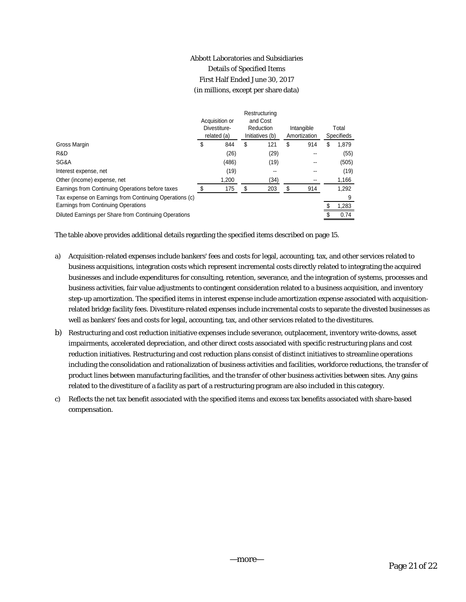## Abbott Laboratories and Subsidiaries Details of Specified Items First Half Ended June 30, 2017 (in millions, except per share data)

|           |                                               |      | Intangible                             |     |                   | Total |
|-----------|-----------------------------------------------|------|----------------------------------------|-----|-------------------|-------|
|           | Initiatives (b)                               |      | Amortization                           |     | <b>Specifieds</b> |       |
| \$<br>844 | \$                                            | 121  | \$                                     | 914 | \$                | 1,879 |
| (26)      |                                               | (29) |                                        |     |                   | (55)  |
| (486)     |                                               | (19) |                                        |     |                   | (505) |
| (19)      |                                               | --   |                                        |     |                   | (19)  |
| 1,200     |                                               | (34) |                                        |     |                   | 1,166 |
| 175       | S                                             | 203  | \$                                     | 914 |                   | 1,292 |
|           |                                               |      |                                        |     |                   | 9     |
|           |                                               |      |                                        |     |                   | 1,283 |
|           |                                               |      |                                        |     |                   | 0.74  |
|           | Acquisition or<br>Divestiture-<br>related (a) |      | Restructuring<br>and Cost<br>Reduction |     |                   |       |

The table above provides additional details regarding the specified items described on page 15.

- a) Acquisition-related expenses include bankers' fees and costs for legal, accounting, tax, and other services related to business acquisitions, integration costs which represent incremental costs directly related to integrating the acquired businesses and include expenditures for consulting, retention, severance, and the integration of systems, processes and business activities, fair value adjustments to contingent consideration related to a business acquisition, and inventory step-up amortization. The specified items in interest expense include amortization expense associated with acquisitionrelated bridge facility fees. Divestiture-related expenses include incremental costs to separate the divested businesses as well as bankers' fees and costs for legal, accounting, tax, and other services related to the divestitures.
- b) Restructuring and cost reduction initiative expenses include severance, outplacement, inventory write-downs, asset impairments, accelerated depreciation, and other direct costs associated with specific restructuring plans and cost reduction initiatives. Restructuring and cost reduction plans consist of distinct initiatives to streamline operations including the consolidation and rationalization of business activities and facilities, workforce reductions, the transfer of product lines between manufacturing facilities, and the transfer of other business activities between sites. Any gains related to the divestiture of a facility as part of a restructuring program are also included in this category.
- c) Reflects the net tax benefit associated with the specified items and excess tax benefits associated with share-based compensation.